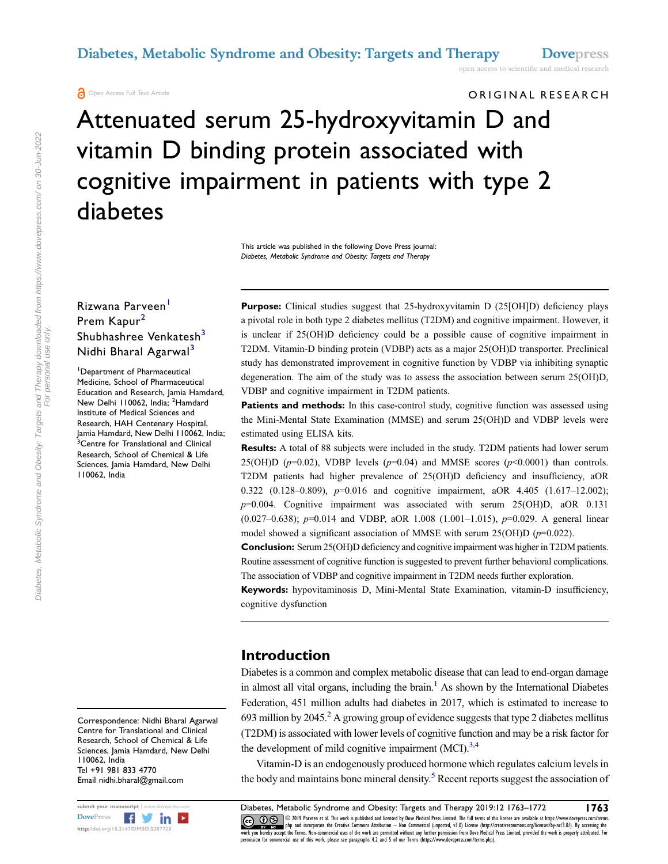Open Access Full Text Article

ORIGINAL RESEARCH

# Attenuated serum 25-hydroxyvitamin D and vitamin D binding protein associated with cognitive impairment in patients with type 2 diabetes

This article was published in the following Dove Press journal: Diabetes, Metabolic Syndrome and Obesity: Targets and Therapy

### Rizwana Parveen<sup>[1](#page-0-0)</sup> Prem Kapur<sup>[2](#page-0-1)</sup> Shubhashree Venkatesh<sup>[3](#page-0-2)</sup> Nidhi Bharal Agarwal<sup>[3](#page-0-2)</sup>

<span id="page-0-2"></span><span id="page-0-1"></span><span id="page-0-0"></span>1 Department of Pharmaceutical Medicine, School of Pharmaceutical Education and Research, Jamia Hamdard, New Delhi 110062, India; <sup>2</sup>Hamdard Institute of Medical Sciences and Research, HAH Centenary Hospital, Jamia Hamdard, New Delhi 110062, India; <sup>3</sup> Centre for Translational and Clinical Research, School of Chemical & Life Sciences, Jamia Hamdard, New Delhi 110062, India

Correspondence: Nidhi Bharal Agarwal Centre for Translational and Clinical Research, School of Chemical & Life Sciences, Jamia Hamdard, New Delhi 110062, India Tel +91 981 833 4770 Email nidhi.bharal@gmail.com



Purpose: Clinical studies suggest that 25-hydroxyvitamin D (25[OH]D) deficiency plays a pivotal role in both type 2 diabetes mellitus (T2DM) and cognitive impairment. However, it is unclear if 25(OH)D deficiency could be a possible cause of cognitive impairment in T2DM. Vitamin-D binding protein (VDBP) acts as a major 25(OH)D transporter. Preclinical study has demonstrated improvement in cognitive function by VDBP via inhibiting synaptic degeneration. The aim of the study was to assess the association between serum 25(OH)D, VDBP and cognitive impairment in T2DM patients.

**Patients and methods:** In this case-control study, cognitive function was assessed using the Mini-Mental State Examination (MMSE) and serum 25(OH)D and VDBP levels were estimated using ELISA kits.

Results: A total of 88 subjects were included in the study. T2DM patients had lower serum 25(OH)D ( $p=0.02$ ), VDBP levels ( $p=0.04$ ) and MMSE scores ( $p<0.0001$ ) than controls. T2DM patients had higher prevalence of 25(OH)D deficiency and insufficiency, aOR 0.322 (0.128-0.809), p=0.016 and cognitive impairment, aOR 4.405 (1.617-12.002);  $p=0.004$ . Cognitive impairment was associated with serum 25(OH)D, aOR 0.131  $(0.027-0.638)$ ;  $p=0.014$  and VDBP, aOR 1.008 (1.001-1.015),  $p=0.029$ . A general linear model showed a significant association of MMSE with serum  $25(OH)D$  ( $p=0.022$ ).

Conclusion: Serum 25(OH)D deficiency and cognitive impairment was higher in T2DM patients. Routine assessment of cognitive function is suggested to prevent further behavioral complications. The association of VDBP and cognitive impairment in T2DM needs further exploration.

Keywords: hypovitaminosis D, Mini-Mental State Examination, vitamin-D insufficiency, cognitive dysfunction

# Introduction

<span id="page-0-4"></span><span id="page-0-3"></span>Diabetes is a common and complex metabolic disease that can lead to end-organ damage in almost all vital organs, including the brain.<sup>[1](#page-8-0)</sup> As shown by the International Diabetes Federation, 451 million adults had diabetes in 2017, which is estimated to increase to 693 million by 2045.<sup>2</sup> A growing group of evidence suggests that type 2 diabetes mellitus (T2DM) is associated with lower levels of cognitive function and may be a risk factor for the development of mild cognitive impairment  $(MCI)$ <sup>3[,4](#page-8-3)</sup>

<span id="page-0-6"></span><span id="page-0-5"></span>Vitamin-D is an endogenously produced hormone which regulates calcium levels in the body and maintains bone mineral density.<sup>5</sup> Recent reports suggest the association of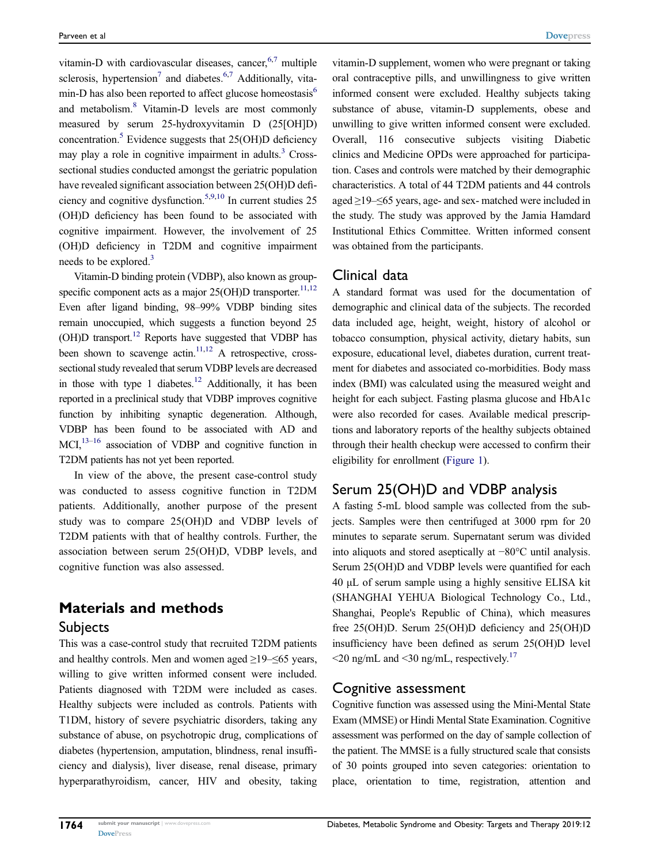<span id="page-1-2"></span><span id="page-1-1"></span><span id="page-1-0"></span>vitamin-D with cardiovascular diseases, cancer,  $6,7$  $6,7$  multiple sclerosis, hypertension<sup>7</sup> and diabetes.<sup>[6](#page-8-5)[,7](#page-8-6)</sup> Additionally, vitamin-D has also been reported to affect glucose homeostasis $<sup>6</sup>$ </sup> and metabolism.[8](#page-8-7) Vitamin-D levels are most commonly measured by serum 25-hydroxyvitamin D (25[OH]D) concentration. $5$  Evidence suggests that 25(OH)D deficiency may play a role in cognitive impairment in adults.<sup>[3](#page-8-2)</sup> Crosssectional studies conducted amongst the geriatric population have revealed significant association between 25(OH)D deficiency and cognitive dysfunction.[5](#page-8-4)[,9](#page-8-8)[,10](#page-8-9) In current studies 25 (OH)D deficiency has been found to be associated with cognitive impairment. However, the involvement of 25 (OH)D deficiency in T2DM and cognitive impairment needs to be explored.<sup>[3](#page-8-2)</sup>

<span id="page-1-4"></span><span id="page-1-3"></span>Vitamin-D binding protein (VDBP), also known as groupspecific component acts as a major  $25(OH)D$  transporter.<sup>11[,12](#page-8-11)</sup> Even after ligand binding, 98–99% VDBP binding sites remain unoccupied, which suggests a function beyond 25 (OH)D transport.<sup>12</sup> Reports have suggested that VDBP has been shown to scavenge actin.<sup>11[,12](#page-8-11)</sup> A retrospective, crosssectional study revealed that serum VDBP levels are decreased in those with type 1 diabetes.<sup>12</sup> Additionally, it has been reported in a preclinical study that VDBP improves cognitive function by inhibiting synaptic degeneration. Although, VDBP has been found to be associated with AD and  $MCI,$ <sup>[13](#page-8-12)–[16](#page-8-13)</sup> association of VDBP and cognitive function in T2DM patients has not yet been reported.

<span id="page-1-6"></span><span id="page-1-5"></span>In view of the above, the present case-control study was conducted to assess cognitive function in T2DM patients. Additionally, another purpose of the present study was to compare 25(OH)D and VDBP levels of T2DM patients with that of healthy controls. Further, the association between serum 25(OH)D, VDBP levels, and cognitive function was also assessed.

# Materials and methods **Subjects**

This was a case-control study that recruited T2DM patients and healthy controls. Men and women aged  $\geq$ 19– $\leq$ 65 years, willing to give written informed consent were included. Patients diagnosed with T2DM were included as cases. Healthy subjects were included as controls. Patients with T1DM, history of severe psychiatric disorders, taking any substance of abuse, on psychotropic drug, complications of diabetes (hypertension, amputation, blindness, renal insufficiency and dialysis), liver disease, renal disease, primary hyperparathyroidism, cancer, HIV and obesity, taking vitamin-D supplement, women who were pregnant or taking oral contraceptive pills, and unwillingness to give written informed consent were excluded. Healthy subjects taking substance of abuse, vitamin-D supplements, obese and unwilling to give written informed consent were excluded. Overall, 116 consecutive subjects visiting Diabetic clinics and Medicine OPDs were approached for participation. Cases and controls were matched by their demographic characteristics. A total of 44 T2DM patients and 44 controls aged ≥19–≤65 years, age- and sex- matched were included in the study. The study was approved by the Jamia Hamdard Institutional Ethics Committee. Written informed consent was obtained from the participants.

#### Clinical data

A standard format was used for the documentation of demographic and clinical data of the subjects. The recorded data included age, height, weight, history of alcohol or tobacco consumption, physical activity, dietary habits, sun exposure, educational level, diabetes duration, current treatment for diabetes and associated co-morbidities. Body mass index (BMI) was calculated using the measured weight and height for each subject. Fasting plasma glucose and HbA1c were also recorded for cases. Available medical prescriptions and laboratory reports of the healthy subjects obtained through their health checkup were accessed to confirm their eligibility for enrollment [\(Figure 1](#page-2-0)).

# Serum 25(OH)D and VDBP analysis

A fasting 5-mL blood sample was collected from the subjects. Samples were then centrifuged at 3000 rpm for 20 minutes to separate serum. Supernatant serum was divided into aliquots and stored aseptically at −80°C until analysis. Serum 25(OH)D and VDBP levels were quantified for each 40 μL of serum sample using a highly sensitive ELISA kit (SHANGHAI YEHUA Biological Technology Co., Ltd., Shanghai, People's Republic of China), which measures free 25(OH)D. Serum 25(OH)D deficiency and 25(OH)D insufficiency have been defined as serum 25(OH)D level  $\leq$ 20 ng/mL and  $\leq$ 30 ng/mL, respectively.<sup>[17](#page-8-14)</sup>

#### <span id="page-1-7"></span>Cognitive assessment

Cognitive function was assessed using the Mini-Mental State Exam (MMSE) or Hindi Mental State Examination. Cognitive assessment was performed on the day of sample collection of the patient. The MMSE is a fully structured scale that consists of 30 points grouped into seven categories: orientation to place, orientation to time, registration, attention and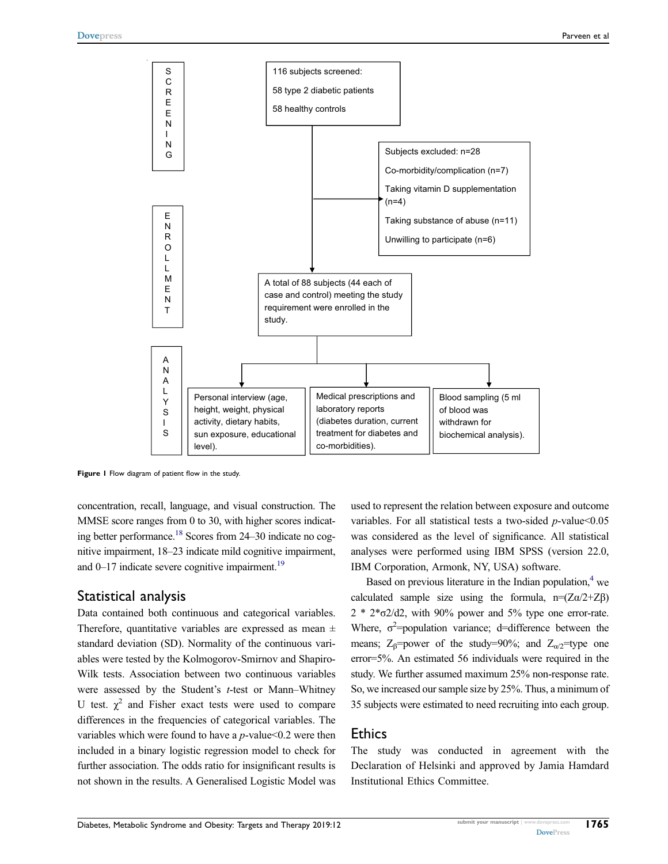<span id="page-2-0"></span>

Figure I Flow diagram of patient flow in the study.

<span id="page-2-1"></span>concentration, recall, language, and visual construction. The MMSE score ranges from 0 to 30, with higher scores indicating better performance.<sup>18</sup> Scores from 24–30 indicate no cognitive impairment, 18–23 indicate mild cognitive impairment, and  $0-17$  indicate severe cognitive impairment.<sup>19</sup>

#### <span id="page-2-2"></span>Statistical analysis

Data contained both continuous and categorical variables. Therefore, quantitative variables are expressed as mean  $\pm$ standard deviation (SD). Normality of the continuous variables were tested by the Kolmogorov-Smirnov and Shapiro-Wilk tests. Association between two continuous variables were assessed by the Student's t-test or Mann-Whitney U test.  $\chi^2$  and Fisher exact tests were used to compare differences in the frequencies of categorical variables. The variables which were found to have a  $p$ -value <0.2 were then included in a binary logistic regression model to check for further association. The odds ratio for insignificant results is not shown in the results. A Generalised Logistic Model was used to represent the relation between exposure and outcome variables. For all statistical tests a two-sided  $p$ -value<0.05 was considered as the level of significance. All statistical analyses were performed using IBM SPSS (version 22.0, IBM Corporation, Armonk, NY, USA) software.

Based on previous literature in the Indian population, $4 \text{ we}$  $4 \text{ we}$ calculated sample size using the formula,  $n=(Z\alpha/2+Z\beta)$  $2 * 2 * \sigma$ 2/d2, with 90% power and 5% type one error-rate. Where,  $\sigma^2$ =population variance; d=difference between the means;  $Z_\beta$ =power of the study=90%; and  $Z_{\alpha/2}$ =type one error=5%. An estimated 56 individuals were required in the study. We further assumed maximum 25% non-response rate. So, we increased our sample size by 25%. Thus, a minimum of 35 subjects were estimated to need recruiting into each group.

#### Ethics

The study was conducted in agreement with the Declaration of Helsinki and approved by Jamia Hamdard Institutional Ethics Committee.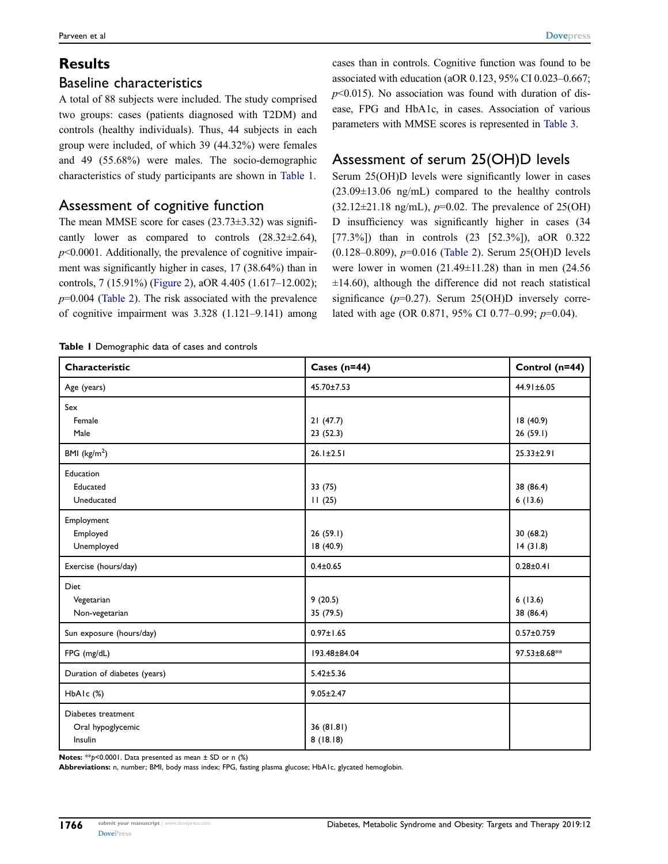# **Results**

# Baseline characteristics

A total of 88 subjects were included. The study comprised two groups: cases (patients diagnosed with T2DM) and controls (healthy individuals). Thus, 44 subjects in each group were included, of which 39 (44.32%) were females and 49 (55.68%) were males. The socio-demographic characteristics of study participants are shown in [Table 1](#page-3-0).

# Assessment of cognitive function

The mean MMSE score for cases (23.73±3.32) was significantly lower as compared to controls  $(28.32 \pm 2.64)$ ,  $p$ <0.0001. Additionally, the prevalence of cognitive impairment was significantly higher in cases, 17 (38.64%) than in controls, 7 (15.91%) ([Figure 2\)](#page-4-0), aOR 4.405 (1.617–12.002);  $p=0.004$  [\(Table 2](#page-4-1)). The risk associated with the prevalence of cognitive impairment was 3.328 (1.121–9.141) among cases than in controls. Cognitive function was found to be associated with education (aOR 0.123, 95% CI 0.023–0.667;  $p<0.015$ ). No association was found with duration of disease, FPG and HbA1c, in cases. Association of various parameters with MMSE scores is represented in [Table 3.](#page-5-0)

# Assessment of serum 25(OH)D levels

Serum 25(OH)D levels were significantly lower in cases  $(23.09\pm13.06 \text{ ng/mL})$  compared to the healthy controls  $(32.12 \pm 21.18 \text{ ng/mL})$ ,  $p=0.02$ . The prevalence of 25(OH) D insufficiency was significantly higher in cases (34 [77.3%]) than in controls (23 [52.3%]), aOR 0.322 (0.128–0.809), p=0.016 [\(Table 2\)](#page-4-1). Serum 25(OH)D levels were lower in women  $(21.49\pm11.28)$  than in men  $(24.56$  $\pm$ 14.60), although the difference did not reach statistical significance ( $p=0.27$ ). Serum 25(OH)D inversely correlated with age (OR 0.871, 95% CI 0.77–0.99;  $p=0.04$ ).

<span id="page-3-0"></span>Table I Demographic data of cases and controls

| Characteristic                                     | Cases $(n=44)$         | Control (n=44)        |
|----------------------------------------------------|------------------------|-----------------------|
| Age (years)                                        | $45.70 \pm 7.53$       | 44.91±6.05            |
| Sex<br>Female                                      |                        |                       |
| Male                                               | 21(47.7)<br>23(52.3)   | 18 (40.9)<br>26(59.1) |
| BMI $(kg/m2)$                                      | $26.1 \pm 2.51$        | $25.33 \pm 2.91$      |
| Education<br>Educated<br>Uneducated                | 33(75)<br>11(25)       | 38 (86.4)<br>6(13.6)  |
| Employment<br>Employed<br>Unemployed               | 26(59.1)<br>18(40.9)   | 30(68.2)<br>14(31.8)  |
| Exercise (hours/day)                               | $0.4 \pm 0.65$         | $0.28 \pm 0.41$       |
| <b>Diet</b><br>Vegetarian<br>Non-vegetarian        | 9(20.5)<br>35 (79.5)   | 6(13.6)<br>38 (86.4)  |
| Sun exposure (hours/day)                           | $0.97 \pm 1.65$        | $0.57 \pm 0.759$      |
| FPG (mg/dL)                                        | 193.48±84.04           | 97.53±8.68**          |
| Duration of diabetes (years)                       | $5.42 \pm 5.36$        |                       |
| HbAIc (%)                                          | $9.05 \pm 2.47$        |                       |
| Diabetes treatment<br>Oral hypoglycemic<br>Insulin | 36 (81.81)<br>8(18.18) |                       |

Notes: \*\*  $p$ <0.0001. Data presented as mean  $\pm$  SD or n (%)

Abbreviations: n, number; BMI, body mass index; FPG, fasting plasma glucose; HbA1c, glycated hemoglobin.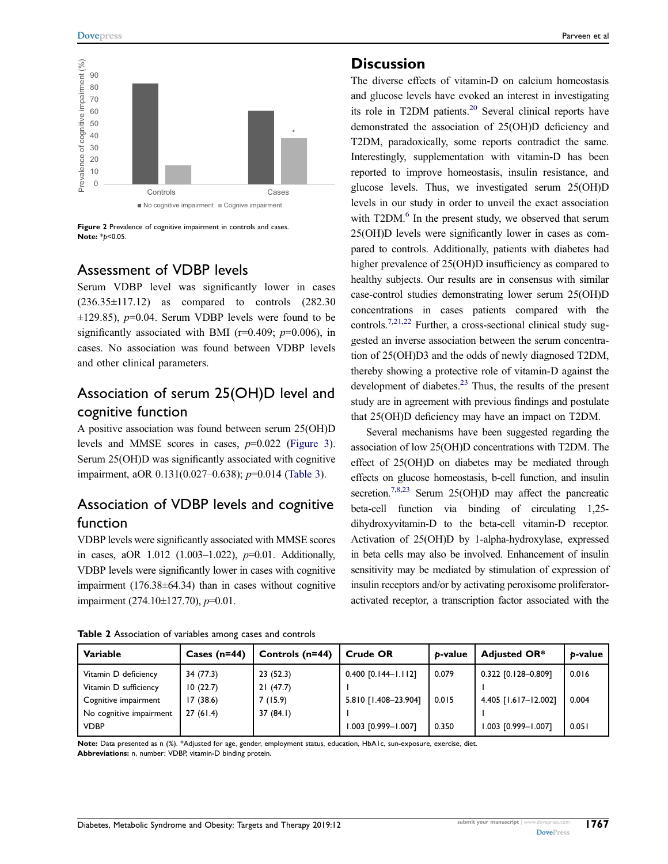<span id="page-4-0"></span>

Figure 2 Prevalence of cognitive impairment in controls and cases. Note: \*p<0.05.

# Assessment of VDBP levels

Serum VDBP level was significantly lower in cases  $(236.35\pm117.12)$  as compared to controls  $(282.30)$  $\pm$ 129.85), p=0.04. Serum VDBP levels were found to be significantly associated with BMI ( $r=0.409$ ;  $p=0.006$ ), in cases. No association was found between VDBP levels and other clinical parameters.

# Association of serum 25(OH)D level and cognitive function

A positive association was found between serum 25(OH)D levels and MMSE scores in cases,  $p=0.022$  [\(Figure 3\)](#page-6-0). Serum 25(OH)D was significantly associated with cognitive impairment, aOR 0.131(0.027–0.638); p=0.014 [\(Table 3\)](#page-5-0).

# Association of VDBP levels and cognitive function

VDBP levels were significantly associated with MMSE scores in cases, aOR  $1.012$  (1.003–1.022),  $p=0.01$ . Additionally, VDBP levels were significantly lower in cases with cognitive impairment (176.38±64.34) than in cases without cognitive impairment (274.10±127.70), p=0.01.

# **Discussion**

<span id="page-4-2"></span>The diverse effects of vitamin-D on calcium homeostasis and glucose levels have evoked an interest in investigating its role in T2DM patients.<sup>20</sup> Several clinical reports have demonstrated the association of 25(OH)D deficiency and T2DM, paradoxically, some reports contradict the same. Interestingly, supplementation with vitamin-D has been reported to improve homeostasis, insulin resistance, and glucose levels. Thus, we investigated serum 25(OH)D levels in our study in order to unveil the exact association with  $T2DM<sup>6</sup>$  $T2DM<sup>6</sup>$  $T2DM<sup>6</sup>$  In the present study, we observed that serum 25(OH)D levels were significantly lower in cases as compared to controls. Additionally, patients with diabetes had higher prevalence of 25(OH)D insufficiency as compared to healthy subjects. Our results are in consensus with similar case-control studies demonstrating lower serum 25(OH)D concentrations in cases patients compared with the controls.<sup>[7](#page-8-6)[,21](#page-8-18)[,22](#page-8-19)</sup> Further, a cross-sectional clinical study suggested an inverse association between the serum concentration of 25(OH)D3 and the odds of newly diagnosed T2DM, thereby showing a protective role of vitamin-D against the development of diabetes. $^{23}$  Thus, the results of the present study are in agreement with previous findings and postulate that 25(OH)D deficiency may have an impact on T2DM.

<span id="page-4-4"></span><span id="page-4-3"></span>Several mechanisms have been suggested regarding the association of low 25(OH)D concentrations with T2DM. The effect of 25(OH)D on diabetes may be mediated through effects on glucose homeostasis, b-cell function, and insulin secretion.<sup>7,[8](#page-8-7),[23](#page-8-20)</sup> Serum 25(OH)D may affect the pancreatic beta-cell function via binding of circulating 1,25 dihydroxyvitamin-D to the beta-cell vitamin-D receptor. Activation of 25(OH)D by 1-alpha-hydroxylase, expressed in beta cells may also be involved. Enhancement of insulin sensitivity may be mediated by stimulation of expression of insulin receptors and/or by activating peroxisome proliferatoractivated receptor, a transcription factor associated with the

| Variable                | Cases ( $n=44$ ) | Controls (n=44) | <b>Crude OR</b>       | b-value | <b>Adjusted OR*</b>   | p-value |
|-------------------------|------------------|-----------------|-----------------------|---------|-----------------------|---------|
| Vitamin D deficiency    | 34 (77.3)        | 23(52.3)        | $0.400$ [0.144-1.112] | 0.079   | $0.322$ [0.128-0.809] | 0.016   |
| Vitamin D sufficiency   | 10(22.7)         | 21(47.7)        |                       |         |                       |         |
| Cognitive impairment    | 17 (38.6)        | 7(15.9)         | 5.810 [1.408-23.904]  | 0.015   | 4.405 [1.617-12.002]  | 0.004   |
| No cognitive impairment | 27(61.4)         | 37(84.1)        |                       |         |                       |         |
| <b>VDBP</b>             |                  |                 | 1.003 [0.999-1.007]   | 0.350   | 1.003 [0.999-1.007]   | 0.051   |

<span id="page-4-1"></span>Table 2 Association of variables among cases and controls

Note: Data presented as n (%). \*Adjusted for age, gender, employment status, education, HbA1c, sun-exposure, exercise, diet. Abbreviations: n, number; VDBP, vitamin-D binding protein.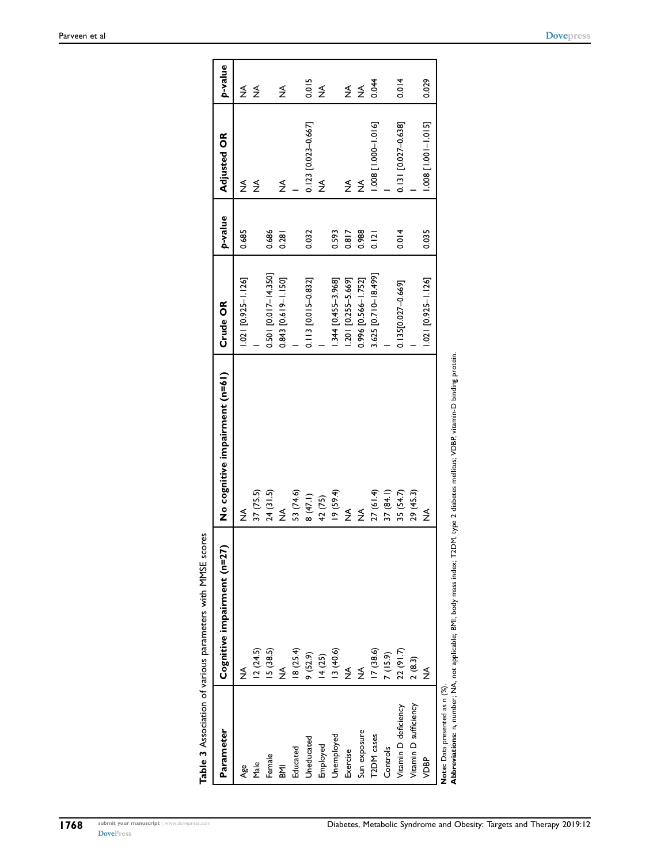<span id="page-5-0"></span>

|                               | Table 3 Association of various parameters with MMSE scores |                                |                       |         |                     |               |
|-------------------------------|------------------------------------------------------------|--------------------------------|-----------------------|---------|---------------------|---------------|
| Parameter                     | Cognitive impairment (n=27)                                | No cognitive impairment (n=61) | Crude OR              | p-value | <b>Adjusted OR</b>  | p-value       |
| Age                           | ≸                                                          | ≸                              | $[0.11 - 25 - 1.126]$ | 0.685   | ≸                   | ≸             |
| Male                          | 12(24.5)                                                   | 37(75.5)                       |                       |         | ≸                   | ≸             |
| Female                        | 15(38.5)                                                   | 24 (31.5)                      | 0.501 [0.017-14.350]  | 0.686   |                     |               |
| 집                             | $\frac{1}{2}$                                              | $\frac{1}{2}$                  | 0.843 [0.619-1.150]   | 0.281   | ≸                   | $\frac{1}{2}$ |
| Educated                      | 18(25.4)                                                   | 53 (74.6)                      |                       |         |                     |               |
| Uneducated                    | 9(52.9)                                                    | 8(47.1)                        | 0.113 [0.015-0.832]   | 0.032   | 0.123 [0.023-0.667] | 0.015         |
| Employed                      | 14(25)                                                     | 42 (75)                        |                       |         | ≸                   | ≸             |
| Unemployed                    | 13(40.6)                                                   | 19(59.4)                       | 1.344 [0.455-3.968]   | 0.593   |                     |               |
| Exercise                      | $\frac{1}{2}$                                              | $\frac{1}{2}$                  | .201 [0.255-5.669]    | 0.817   | ≸                   | $\frac{1}{2}$ |
| Sun exposure                  | $\frac{1}{2}$                                              | $\frac{1}{2}$                  | 0.996 [0.566-1.752]   | 0.988   | ≸                   | $\frac{1}{2}$ |
| T <sub>2</sub> DM cases       | 17(38.6)                                                   | 27(61.4)                       | 3.625 [0.710-18.499]  | 0.121   | [910:1-000 [1 300]  | 0.044         |
| Controls                      | 7(15.9)                                                    | 37(84.1)                       |                       |         |                     |               |
| Vitamin D deficiency          | 22 (91.7)                                                  | 35 (54.7)                      | 0.135[0.027-0.669]    | 0.014   | 0.131 [0.027-0.638] | 0.014         |
| Vitamin D sufficiency         | 2(8.3)                                                     | 29 (45.3)                      |                       |         |                     |               |
| <b>VDBP</b>                   | ≸                                                          | ≸                              | $1.021$ [0.925-1.126] | 0.035   | 1210 - 100 1 - 100  | 0.029         |
| Note: Data presented as n (%) |                                                            |                                |                       |         |                     |               |

**Note**: Data presented as n (%).<br>**Abbreviations**: n, number; NA, not applicable; BMI, body mass index; T2DM, type 2 diabetes mellitus; VDBP, vitamin-D binding protein. Abbreviations: n, number; NA, not applicable; BMI, body mass index; T2DM, type 2 diabetes mellitus; VDBP, vitamin-D binding protein.

٦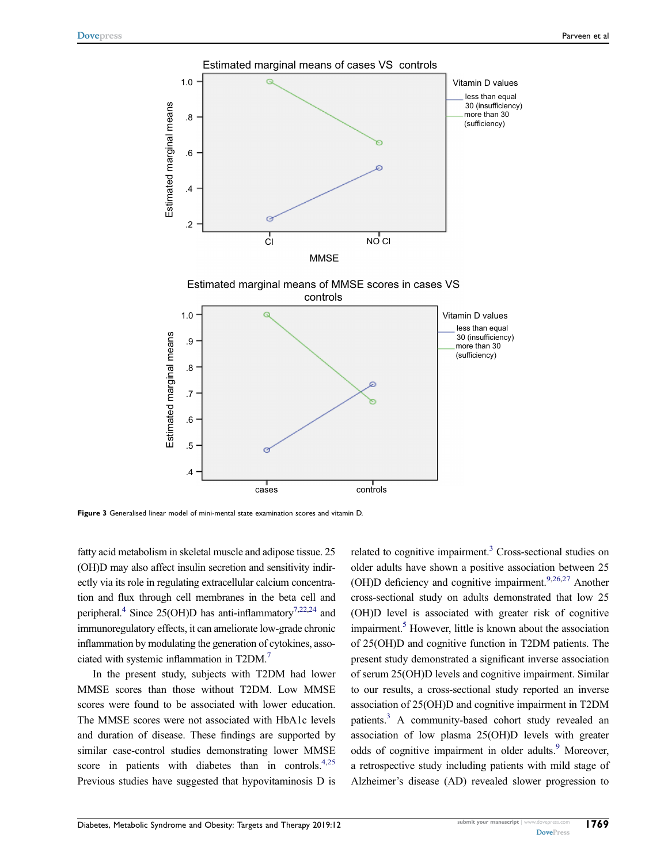<span id="page-6-0"></span>

Figure 3 Generalised linear model of mini-mental state examination scores and vitamin D.

<span id="page-6-1"></span>fatty acid metabolism in skeletal muscle and adipose tissue. 25 (OH)D may also affect insulin secretion and sensitivity indirectly via its role in regulating extracellular calcium concentration and flux through cell membranes in the beta cell and peripheral.<sup>4</sup> Since 25(OH)D has anti-inflammatory<sup>7[,22](#page-8-19)[,24](#page-8-21)</sup> and immunoregulatory effects, it can ameliorate low-grade chronic inflammation by modulating the generation of cytokines, associated with systemic inflammation in T2DM.[7](#page-8-6)

<span id="page-6-2"></span>In the present study, subjects with T2DM had lower MMSE scores than those without T2DM. Low MMSE scores were found to be associated with lower education. The MMSE scores were not associated with HbA1c levels and duration of disease. These findings are supported by similar case-control studies demonstrating lower MMSE score in patients with diabetes than in controls. $4,25$  $4,25$ Previous studies have suggested that hypovitaminosis D is <span id="page-6-3"></span>related to cognitive impairment.<sup>[3](#page-8-2)</sup> Cross-sectional studies on older adults have shown a positive association between 25 (OH)D deficiency and cognitive impairment.<sup>9[,26,](#page-8-23)[27](#page-8-24)</sup> Another cross-sectional study on adults demonstrated that low 25 (OH)D level is associated with greater risk of cognitive impairment.<sup>5</sup> However, little is known about the association of 25(OH)D and cognitive function in T2DM patients. The present study demonstrated a significant inverse association of serum 25(OH)D levels and cognitive impairment. Similar to our results, a cross-sectional study reported an inverse association of 25(OH)D and cognitive impairment in T2DM patients.<sup>3</sup> A community-based cohort study revealed an association of low plasma 25(OH)D levels with greater odds of cognitive impairment in older adults.<sup>[9](#page-8-8)</sup> Moreover, a retrospective study including patients with mild stage of Alzheimer's disease (AD) revealed slower progression to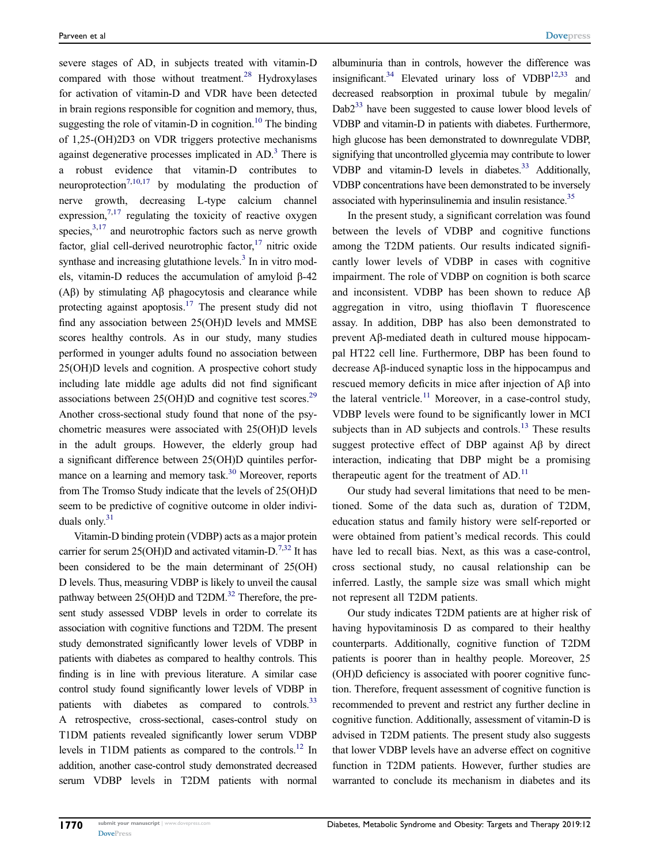<span id="page-7-0"></span>severe stages of AD, in subjects treated with vitamin-D compared with those without treatment.<sup>[28](#page-8-25)</sup> Hydroxylases for activation of vitamin-D and VDR have been detected in brain regions responsible for cognition and memory, thus, suggesting the role of vitamin-D in cognition.<sup>10</sup> The binding of 1,25-(OH)2D3 on VDR triggers protective mechanisms against degenerative processes implicated in AD.<sup>3</sup> There is a robust evidence that vitamin-D contributes to neuroprotection<sup>[7](#page-8-6)[,10,](#page-8-9)[17](#page-8-14)</sup> by modulating the production of nerve growth, decreasing L-type calcium channel expression, $7,17$  $7,17$  regulating the toxicity of reactive oxygen species, $3,17$  $3,17$  and neurotrophic factors such as nerve growth factor, glial cell-derived neurotrophic factor,  $17$  nitric oxide synthase and increasing glutathione levels. $3$  In in vitro models, vitamin-D reduces the accumulation of amyloid β-42 (Aβ) by stimulating Aβ phagocytosis and clearance while protecting against apoptosis[.17](#page-8-14) The present study did not find any association between 25(OH)D levels and MMSE scores healthy controls. As in our study, many studies performed in younger adults found no association between 25(OH)D levels and cognition. A prospective cohort study including late middle age adults did not find significant associations between  $25(OH)D$  and cognitive test scores.<sup>29</sup> Another cross-sectional study found that none of the psychometric measures were associated with 25(OH)D levels in the adult groups. However, the elderly group had a significant difference between 25(OH)D quintiles performance on a learning and memory task.<sup>30</sup> Moreover, reports from The Tromso Study indicate that the levels of 25(OH)D seem to be predictive of cognitive outcome in older individuals only.<sup>31</sup>

<span id="page-7-4"></span><span id="page-7-3"></span><span id="page-7-2"></span><span id="page-7-1"></span>Vitamin-D binding protein (VDBP) acts as a major protein carrier for serum 25(OH)D and activated vitamin- $D<sup>7,32</sup>$  $D<sup>7,32</sup>$  $D<sup>7,32</sup>$  $D<sup>7,32</sup>$  It has been considered to be the main determinant of 25(OH) D levels. Thus, measuring VDBP is likely to unveil the causal pathway between 25(OH)D and T2DM.<sup>[32](#page-8-29)</sup> Therefore, the present study assessed VDBP levels in order to correlate its association with cognitive functions and T2DM. The present study demonstrated significantly lower levels of VDBP in patients with diabetes as compared to healthy controls. This finding is in line with previous literature. A similar case control study found significantly lower levels of VDBP in patients with diabetes as compared to controls.<sup>33</sup> A retrospective, cross-sectional, cases-control study on T1DM patients revealed significantly lower serum VDBP levels in T1DM patients as compared to the controls.<sup>12</sup> In addition, another case-control study demonstrated decreased serum VDBP levels in T2DM patients with normal

<span id="page-7-6"></span>albuminuria than in controls, however the difference was insignificant.<sup>34</sup> Elevated urinary loss of  $VDBP<sup>12,33</sup>$  $VDBP<sup>12,33</sup>$  $VDBP<sup>12,33</sup>$  $VDBP<sup>12,33</sup>$  and decreased reabsorption in proximal tubule by megalin/ Dab2<sup>[33](#page-8-30)</sup> have been suggested to cause lower blood levels of VDBP and vitamin-D in patients with diabetes. Furthermore, high glucose has been demonstrated to downregulate VDBP, signifying that uncontrolled glycemia may contribute to lower VDBP and vitamin-D levels in diabetes. $33$  Additionally, VDBP concentrations have been demonstrated to be inversely associated with hyperinsulinemia and insulin resistance.<sup>35</sup>

<span id="page-7-7"></span><span id="page-7-5"></span>In the present study, a significant correlation was found between the levels of VDBP and cognitive functions among the T2DM patients. Our results indicated significantly lower levels of VDBP in cases with cognitive impairment. The role of VDBP on cognition is both scarce and inconsistent. VDBP has been shown to reduce Aβ aggregation in vitro, using thioflavin T fluorescence assay. In addition, DBP has also been demonstrated to prevent Aβ-mediated death in cultured mouse hippocampal HT22 cell line. Furthermore, DBP has been found to decrease Aβ-induced synaptic loss in the hippocampus and rescued memory deficits in mice after injection of Aβ into the lateral ventricle.<sup>[11](#page-8-10)</sup> Moreover, in a case-control study, VDBP levels were found to be significantly lower in MCI subjects than in AD subjects and controls. $13$  These results suggest protective effect of DBP against Aβ by direct interaction, indicating that DBP might be a promising therapeutic agent for the treatment of  $AD<sup>11</sup>$ .

Our study had several limitations that need to be mentioned. Some of the data such as, duration of T2DM, education status and family history were self-reported or were obtained from patient's medical records. This could have led to recall bias. Next, as this was a case-control, cross sectional study, no causal relationship can be inferred. Lastly, the sample size was small which might not represent all T2DM patients.

Our study indicates T2DM patients are at higher risk of having hypovitaminosis D as compared to their healthy counterparts. Additionally, cognitive function of T2DM patients is poorer than in healthy people. Moreover, 25 (OH)D deficiency is associated with poorer cognitive function. Therefore, frequent assessment of cognitive function is recommended to prevent and restrict any further decline in cognitive function. Additionally, assessment of vitamin-D is advised in T2DM patients. The present study also suggests that lower VDBP levels have an adverse effect on cognitive function in T2DM patients. However, further studies are warranted to conclude its mechanism in diabetes and its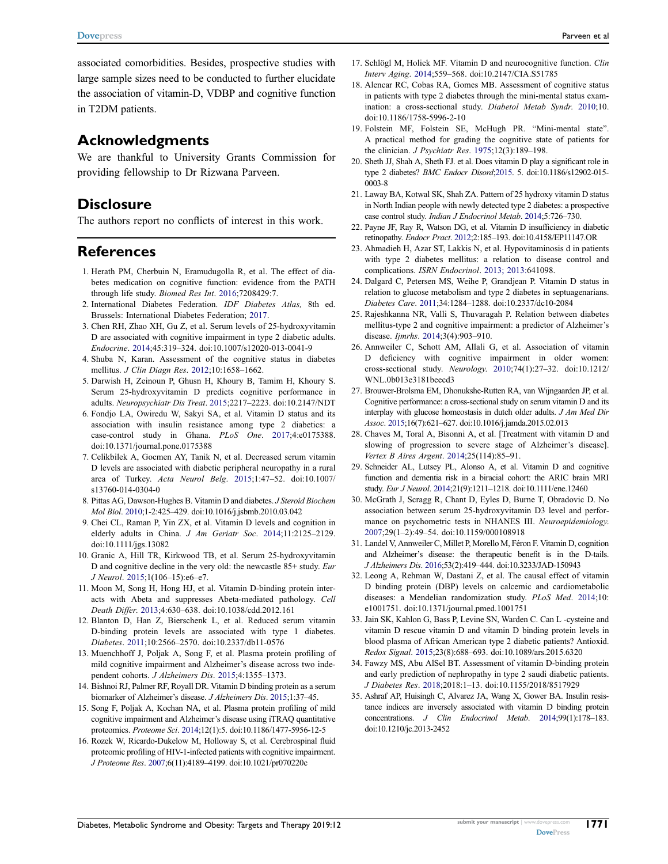associated comorbidities. Besides, prospective studies with large sample sizes need to be conducted to further elucidate the association of vitamin-D, VDBP and cognitive function in T2DM patients.

#### Acknowledgments

We are thankful to University Grants Commission for providing fellowship to Dr Rizwana Parveen.

#### **Disclosure**

The authors report no conflicts of interest in this work.

# References

- <span id="page-8-0"></span>1. Herath PM, Cherbuin N, Eramudugolla R, et al. The effect of diabetes medication on cognitive function: evidence from the PATH through life study. Biomed Res Int. [2016;](#page-0-3)7208429:7.
- <span id="page-8-1"></span>2. International Diabetes Federation. IDF Diabetes Atlas, 8th ed. Brussels: International Diabetes Federation; [2017.](#page-0-4)
- <span id="page-8-2"></span>3. Chen RH, Zhao XH, Gu Z, et al. Serum levels of 25-hydroxyvitamin D are associated with cognitive impairment in type 2 diabetic adults. Endocrine. [2014;](#page-0-5)45:319–324. doi:[10.1007/s12020-013-0041-9](https://doi.org/10.1007/s12020-013-0041-9)
- <span id="page-8-3"></span>4. Shuba N, Karan. Assessment of the cognitive status in diabetes mellitus. J Clin Diagn Res. [2012;](#page-0-5)10:1658–1662.
- <span id="page-8-4"></span>5. Darwish H, Zeinoun P, Ghusn H, Khoury B, Tamim H, Khoury S. Serum 25-hydroxyvitamin D predicts cognitive performance in adults. Neuropsychiatr Dis Treat. [2015](#page-0-6);2217–2223. doi:[10.2147/NDT](https://doi.org/10.2147/NDT)
- <span id="page-8-5"></span>6. Fondjo LA, Owiredu W, Sakyi SA, et al. Vitamin D status and its association with insulin resistance among type 2 diabetics: a case-control study in Ghana. PLoS One. [2017;](#page-1-0)4:e0175388. doi:[10.1371/journal.pone.0175388](https://doi.org/10.1371/journal.pone.0175388)
- <span id="page-8-6"></span>7. Celikbilek A, Gocmen AY, Tanik N, et al. Decreased serum vitamin D levels are associated with diabetic peripheral neuropathy in a rural area of Turkey. Acta Neurol Belg. [2015;](#page-1-1)1:47–52. doi:[10.1007/](https://doi.org/10.1007/s13760-014-0304-0) [s13760-014-0304-0](https://doi.org/10.1007/s13760-014-0304-0)
- <span id="page-8-7"></span>8. Pittas AG, Dawson-Hughes B. Vitamin D and diabetes. J Steroid Biochem Mol Biol. [2010](#page-1-2);1-2:425–429. doi:[10.1016/j.jsbmb.2010.03.042](https://doi.org/10.1016/j.jsbmb.2010.03.042)
- <span id="page-8-8"></span>9. Chei CL, Raman P, Yin ZX, et al. Vitamin D levels and cognition in elderly adults in China. J Am Geriatr Soc. [2014](#page-1-3);11:2125-2129. doi:[10.1111/jgs.13082](https://doi.org/10.1111/jgs.13082)
- <span id="page-8-9"></span>10. Granic A, Hill TR, Kirkwood TB, et al. Serum 25-hydroxyvitamin D and cognitive decline in the very old: the newcastle 85+ study. Eur J Neurol. [2015](#page-1-3);1(106–15):e6–e7.
- <span id="page-8-10"></span>11. Moon M, Song H, Hong HJ, et al. Vitamin D-binding protein interacts with Abeta and suppresses Abeta-mediated pathology. Cell Death Differ. [2013](#page-1-4);4:630–638. doi:[10.1038/cdd.2012.161](https://doi.org/10.1038/cdd.2012.161)
- <span id="page-8-11"></span>12. Blanton D, Han Z, Bierschenk L, et al. Reduced serum vitamin D-binding protein levels are associated with type 1 diabetes. Diabetes. [2011;](#page-1-5)10:2566–2570. doi:[10.2337/db11-0576](https://doi.org/10.2337/db11-0576)
- <span id="page-8-12"></span>13. Muenchhoff J, Poljak A, Song F, et al. Plasma protein profiling of mild cognitive impairment and Alzheimer's disease across two independent cohorts. J Alzheimers Dis. [2015;](#page-1-6)4:1355–1373.
- 14. Bishnoi RJ, Palmer RF, Royall DR. Vitamin D binding protein as a serum biomarker of Alzheimer's disease. J Alzheimers Dis. 2015;1:37–45.
- 15. Song F, Poljak A, Kochan NA, et al. Plasma protein profiling of mild cognitive impairment and Alzheimer's disease using iTRAQ quantitative proteomics. Proteome Sci. 2014;12(1):5. doi:[10.1186/1477-5956-12-5](https://doi.org/10.1186/1477-5956-12-5)
- <span id="page-8-13"></span>16. Rozek W, Ricardo-Dukelow M, Holloway S, et al. Cerebrospinal fluid proteomic profiling of HIV-1-infected patients with cognitive impairment. J Proteome Res. [2007](#page-1-6);6(11):4189–4199. doi:[10.1021/pr070220c](https://doi.org/10.1021/pr070220c)
- <span id="page-8-14"></span>17. Schlögl M, Holick MF. Vitamin D and neurocognitive function. Clin Interv Aging. [2014;](#page-1-7)559–568. doi:[10.2147/CIA.S51785](https://doi.org/10.2147/CIA.S51785)
- <span id="page-8-15"></span>18. Alencar RC, Cobas RA, Gomes MB. Assessment of cognitive status in patients with type 2 diabetes through the mini-mental status examination: a cross-sectional study. Diabetol Metab Syndr. [2010](#page-2-1);10. doi:[10.1186/1758-5996-2-10](https://doi.org/10.1186/1758-5996-2-10)
- <span id="page-8-16"></span>19. Folstein MF, Folstein SE, McHugh PR. "Mini-mental state". A practical method for grading the cognitive state of patients for the clinician. J Psychiatr Res. [1975;](#page-2-2)12(3):189–198.
- <span id="page-8-17"></span>20. Sheth JJ, Shah A, Sheth FJ. et al. Does vitamin D play a significant role in type 2 diabetes? BMC Endocr Disord[;2015.](#page-4-2) 5. doi:[10.1186/s12902-015-](https://doi.org/10.1186/s12902-015-0003-8) [0003-8](https://doi.org/10.1186/s12902-015-0003-8)
- <span id="page-8-18"></span>21. Laway BA, Kotwal SK, Shah ZA. Pattern of 25 hydroxy vitamin D status in North Indian people with newly detected type 2 diabetes: a prospective case control study. Indian J Endocrinol Metab. [2014;](#page-4-3)5:726–730.
- <span id="page-8-19"></span>22. Payne JF, Ray R, Watson DG, et al. Vitamin D insufficiency in diabetic retinopathy. Endocr Pract. [2012;](#page-4-3)2:185–193. doi:[10.4158/EP11147.OR](https://doi.org/10.4158/EP11147.OR)
- <span id="page-8-20"></span>23. Ahmadieh H, Azar ST, Lakkis N, et al. Hypovitaminosis d in patients with type 2 diabetes mellitus: a relation to disease control and complications. ISRN Endocrinol. [2013; 2013:](#page-4-4)641098.
- <span id="page-8-21"></span>24. Dalgard C, Petersen MS, Weihe P, Grandjean P. Vitamin D status in relation to glucose metabolism and type 2 diabetes in septuagenarians. Diabetes Care. [2011](#page-6-1);34:1284–1288. doi:[10.2337/dc10-2084](https://doi.org/10.2337/dc10-2084)
- <span id="page-8-22"></span>25. Rajeshkanna NR, Valli S, Thuvaragah P. Relation between diabetes mellitus-type 2 and cognitive impairment: a predictor of Alzheimer's disease. Ijmrhs. [2014;](#page-6-2)3(4):903–910.
- <span id="page-8-23"></span>26. Annweiler C, Schott AM, Allali G, et al. Association of vitamin D deficiency with cognitive impairment in older women: cross-sectional study. Neurology. [2010](#page-6-3);74(1):27–32. doi:[10.1212/](https://doi.org/10.1212/WNL.0b013e3181beecd3) [WNL.0b013e3181beecd3](https://doi.org/10.1212/WNL.0b013e3181beecd3)
- <span id="page-8-24"></span>27. Brouwer-Brolsma EM, Dhonukshe-Rutten RA, van Wijngaarden JP, et al. Cognitive performance: a cross-sectional study on serum vitamin D and its interplay with glucose homeostasis in dutch older adults. J Am Med Dir Assoc. [2015](#page-6-3);16(7):621–627. doi:[10.1016/j.jamda.2015.02.013](https://doi.org/10.1016/j.jamda.2015.02.013)
- <span id="page-8-25"></span>28. Chaves M, Toral A, Bisonni A, et al. [Treatment with vitamin D and slowing of progression to severe stage of Alzheimer's disease]. Vertex B Aires Argent. [2014](#page-7-0);25(114):85–91.
- <span id="page-8-26"></span>29. Schneider AL, Lutsey PL, Alonso A, et al. Vitamin D and cognitive function and dementia risk in a biracial cohort: the ARIC brain MRI study. Eur J Neurol. [2014;](#page-7-1)21(9):1211–1218. doi:[10.1111/ene.12460](https://doi.org/10.1111/ene.12460)
- <span id="page-8-27"></span>30. McGrath J, Scragg R, Chant D, Eyles D, Burne T, Obradovic D. No association between serum 25-hydroxyvitamin D3 level and performance on psychometric tests in NHANES III. Neuroepidemiology. [2007](#page-7-2);29(1–2):49–54. doi:[10.1159/000108918](https://doi.org/10.1159/000108918)
- <span id="page-8-28"></span>31. Landel V, Annweiler C, Millet P, Morello M, Féron F. Vitamin D, cognition and Alzheimer's disease: the therapeutic benefit is in the D-tails. J Alzheimers Dis. [2016;](#page-7-3)53(2):419–444. doi:[10.3233/JAD-150943](https://doi.org/10.3233/JAD-150943)
- <span id="page-8-29"></span>32. Leong A, Rehman W, Dastani Z, et al. The causal effect of vitamin D binding protein (DBP) levels on calcemic and cardiometabolic diseases: a Mendelian randomization study. PLoS Med. [2014;](#page-7-4)10: e1001751. doi:[10.1371/journal.pmed.1001751](https://doi.org/10.1371/journal.pmed.1001751)
- <span id="page-8-30"></span>33. Jain SK, Kahlon G, Bass P, Levine SN, Warden C. Can L -cysteine and vitamin D rescue vitamin D and vitamin D binding protein levels in blood plasma of African American type 2 diabetic patients? Antioxid. Redox Signal. [2015;](#page-7-5)23(8):688–693. doi:[10.1089/ars.2015.6320](https://doi.org/10.1089/ars.2015.6320)
- <span id="page-8-31"></span>34. Fawzy MS, Abu AlSel BT. Assessment of vitamin D-binding protein and early prediction of nephropathy in type 2 saudi diabetic patients. J Diabetes Res. [2018;](#page-7-6)2018:1–13. doi:[10.1155/2018/8517929](https://doi.org/10.1155/2018/8517929)
- <span id="page-8-32"></span>35. Ashraf AP, Huisingh C, Alvarez JA, Wang X, Gower BA. Insulin resistance indices are inversely associated with vitamin D binding protein concentrations. J Clin Endocrinol Metab. [2014;](#page-7-7)99(1):178–183. doi:[10.1210/jc.2013-2452](https://doi.org/10.1210/jc.2013-2452)